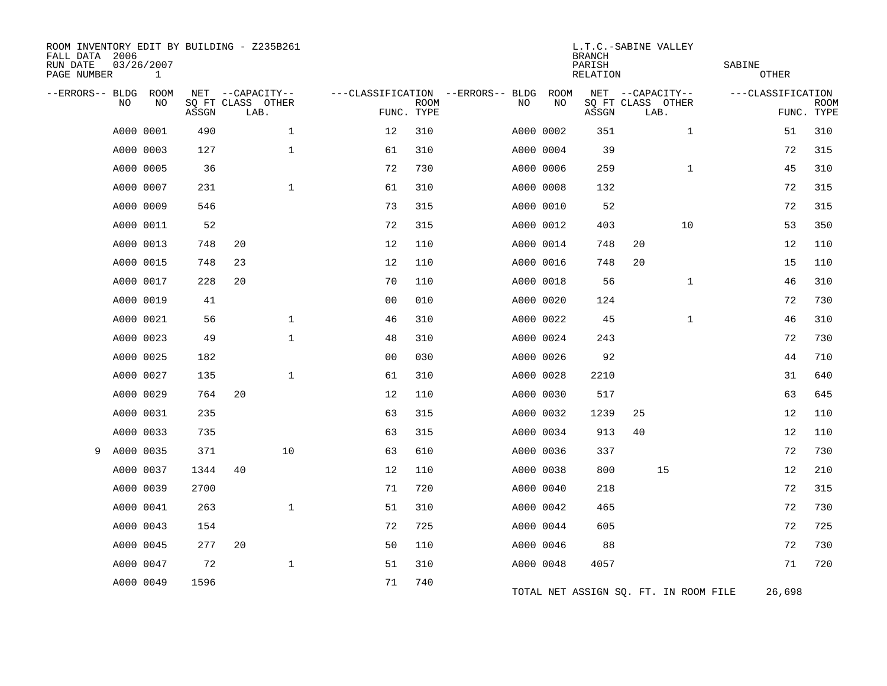| ROOM INVENTORY EDIT BY BUILDING - Z235B261<br>FALL DATA 2006<br>RUN DATE<br>PAGE NUMBER |           | 03/26/2007<br>$\mathbf 1$ |       |                           |              |                                   |             |           |             | L.T.C.-SABINE VALLEY<br><b>BRANCH</b><br>PARISH<br>RELATION |                           |              | SABINE | <b>OTHER</b>      |                           |
|-----------------------------------------------------------------------------------------|-----------|---------------------------|-------|---------------------------|--------------|-----------------------------------|-------------|-----------|-------------|-------------------------------------------------------------|---------------------------|--------------|--------|-------------------|---------------------------|
| --ERRORS-- BLDG                                                                         |           | ROOM                      |       | NET --CAPACITY--          |              | ---CLASSIFICATION --ERRORS-- BLDG |             |           | <b>ROOM</b> |                                                             | NET --CAPACITY--          |              |        | ---CLASSIFICATION |                           |
|                                                                                         | NO.       | NO                        | ASSGN | SQ FT CLASS OTHER<br>LAB. |              | FUNC. TYPE                        | <b>ROOM</b> | NO        | NO          | ASSGN                                                       | SQ FT CLASS OTHER<br>LAB. |              |        |                   | <b>ROOM</b><br>FUNC. TYPE |
|                                                                                         | A000 0001 |                           | 490   |                           | $\mathbf 1$  | 12                                | 310         | A000 0002 |             | 351                                                         |                           | $\mathbf{1}$ |        | 51                | 310                       |
|                                                                                         |           | A000 0003                 | 127   |                           | $\mathbf 1$  | 61                                | 310         | A000 0004 |             | 39                                                          |                           |              |        | 72                | 315                       |
|                                                                                         |           | A000 0005                 | 36    |                           |              | 72                                | 730         | A000 0006 |             | 259                                                         |                           | $\mathbf{1}$ |        | 45                | 310                       |
|                                                                                         | A000 0007 |                           | 231   |                           | $\mathbf{1}$ | 61                                | 310         | A000 0008 |             | 132                                                         |                           |              |        | 72                | 315                       |
|                                                                                         | A000 0009 |                           | 546   |                           |              | 73                                | 315         | A000 0010 |             | 52                                                          |                           |              |        | 72                | 315                       |
|                                                                                         | A000 0011 |                           | 52    |                           |              | 72                                | 315         | A000 0012 |             | 403                                                         |                           | 10           |        | 53                | 350                       |
|                                                                                         |           | A000 0013                 | 748   | 20                        |              | 12                                | 110         | A000 0014 |             | 748                                                         | 20                        |              |        | 12                | 110                       |
|                                                                                         |           | A000 0015                 | 748   | 23                        |              | 12                                | 110         | A000 0016 |             | 748                                                         | 20                        |              |        | 15                | 110                       |
|                                                                                         | A000 0017 |                           | 228   | 20                        |              | 70                                | 110         | A000 0018 |             | 56                                                          |                           | $\mathbf{1}$ |        | 46                | 310                       |
|                                                                                         |           | A000 0019                 | 41    |                           |              | 0 <sub>0</sub>                    | 010         | A000 0020 |             | 124                                                         |                           |              |        | 72                | 730                       |
|                                                                                         | A000 0021 |                           | 56    |                           | $\mathbf 1$  | 46                                | 310         | A000 0022 |             | 45                                                          |                           | $\mathbf{1}$ |        | 46                | 310                       |
|                                                                                         |           | A000 0023                 | 49    |                           | $\mathbf 1$  | 48                                | 310         | A000 0024 |             | 243                                                         |                           |              |        | 72                | 730                       |
|                                                                                         |           | A000 0025                 | 182   |                           |              | 0 <sub>0</sub>                    | 030         | A000 0026 |             | 92                                                          |                           |              |        | 44                | 710                       |
|                                                                                         |           | A000 0027                 | 135   |                           | $\mathbf 1$  | 61                                | 310         | A000 0028 |             | 2210                                                        |                           |              |        | 31                | 640                       |
|                                                                                         | A000 0029 |                           | 764   | 20                        |              | 12                                | 110         | A000 0030 |             | 517                                                         |                           |              |        | 63                | 645                       |
|                                                                                         |           | A000 0031                 | 235   |                           |              | 63                                | 315         | A000 0032 |             | 1239                                                        | 25                        |              |        | 12                | 110                       |
|                                                                                         |           | A000 0033                 | 735   |                           |              | 63                                | 315         | A000 0034 |             | 913                                                         | 40                        |              |        | 12                | 110                       |
| 9                                                                                       |           | A000 0035                 | 371   |                           | 10           | 63                                | 610         | A000 0036 |             | 337                                                         |                           |              |        | 72                | 730                       |
|                                                                                         |           | A000 0037                 | 1344  | 40                        |              | 12                                | 110         | A000 0038 |             | 800                                                         | 15                        |              |        | 12                | 210                       |
|                                                                                         |           | A000 0039                 | 2700  |                           |              | 71                                | 720         | A000 0040 |             | 218                                                         |                           |              |        | 72                | 315                       |
|                                                                                         | A000 0041 |                           | 263   |                           | $\mathbf{1}$ | 51                                | 310         | A000 0042 |             | 465                                                         |                           |              |        | 72                | 730                       |
|                                                                                         |           | A000 0043                 | 154   |                           |              | 72                                | 725         | A000 0044 |             | 605                                                         |                           |              |        | 72                | 725                       |
|                                                                                         |           | A000 0045                 | 277   | 20                        |              | 50                                | 110         | A000 0046 |             | 88                                                          |                           |              |        | 72                | 730                       |
|                                                                                         | A000 0047 |                           | 72    |                           | $\mathbf{1}$ | 51                                | 310         | A000 0048 |             | 4057                                                        |                           |              |        | 71                | 720                       |
|                                                                                         | A000 0049 |                           | 1596  |                           |              | 71                                | 740         |           |             | TOTAL NET ASSIGN SQ. FT. IN ROOM FILE                       |                           |              |        | 26,698            |                           |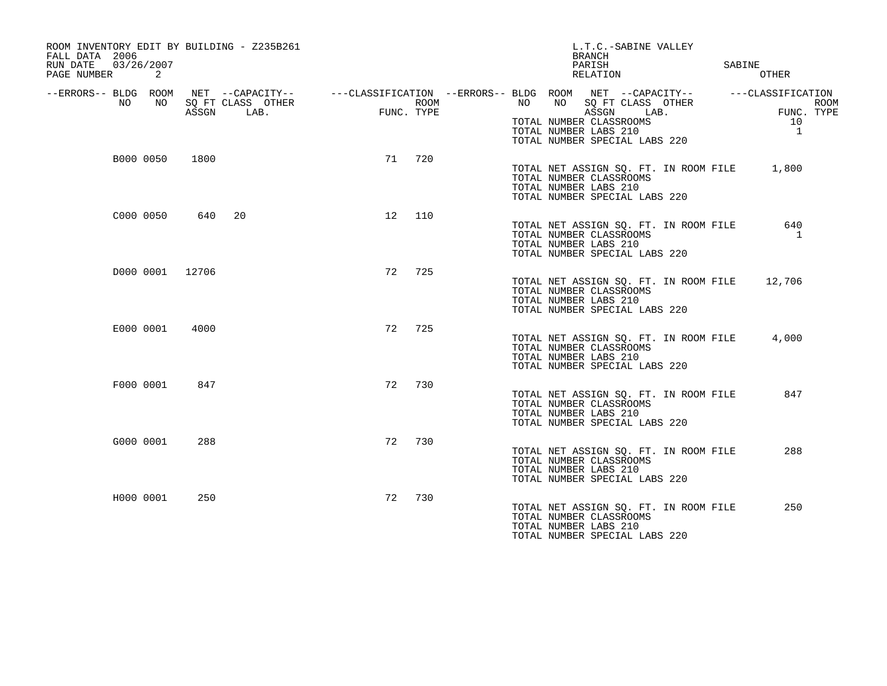| ROOM INVENTORY EDIT BY BUILDING - Z235B261<br>FALL DATA 2006<br>RUN DATE<br>03/26/2007<br>PAGE NUMBER<br>2 |                                                        |                    | L.T.C.-SABINE VALLEY<br><b>BRANCH</b><br>PARISH<br>RELATION                                                                                                                                     | SABINE<br><b>OTHER</b>                                               |
|------------------------------------------------------------------------------------------------------------|--------------------------------------------------------|--------------------|-------------------------------------------------------------------------------------------------------------------------------------------------------------------------------------------------|----------------------------------------------------------------------|
| --ERRORS-- BLDG ROOM<br>NO.<br>NO.                                                                         | NET --CAPACITY--<br>SQ FT CLASS OTHER<br>LAB.<br>ASSGN | ROOM<br>FUNC. TYPE | ---CLASSIFICATION --ERRORS-- BLDG ROOM NET --CAPACITY--<br>NO.<br>NO<br>SO FT CLASS OTHER<br>ASSGN<br>LAB.<br>TOTAL NUMBER CLASSROOMS<br>TOTAL NUMBER LABS 210<br>TOTAL NUMBER SPECIAL LABS 220 | ---CLASSIFICATION<br><b>ROOM</b><br>FUNC. TYPE<br>10<br><sup>1</sup> |
| B000 0050                                                                                                  | 1800                                                   | 71<br>720          | TOTAL NET ASSIGN SQ. FT. IN ROOM FILE<br>TOTAL NUMBER CLASSROOMS<br>TOTAL NUMBER LABS 210<br>TOTAL NUMBER SPECIAL LABS 220                                                                      | 1,800                                                                |
| C000 0050                                                                                                  | 640<br>20                                              | 12<br>110          | TOTAL NET ASSIGN SQ. FT. IN ROOM FILE<br>TOTAL NUMBER CLASSROOMS<br>TOTAL NUMBER LABS 210<br>TOTAL NUMBER SPECIAL LABS 220                                                                      | 640<br>-1                                                            |
| D000 0001 12706                                                                                            |                                                        | 725<br>72          | TOTAL NET ASSIGN SQ. FT. IN ROOM FILE<br>TOTAL NUMBER CLASSROOMS<br>TOTAL NUMBER LABS 210<br>TOTAL NUMBER SPECIAL LABS 220                                                                      | 12,706                                                               |
| E000 0001                                                                                                  | 4000                                                   | 72<br>725          | TOTAL NET ASSIGN SQ. FT. IN ROOM FILE<br>TOTAL NUMBER CLASSROOMS<br>TOTAL NUMBER LABS 210<br>TOTAL NUMBER SPECIAL LABS 220                                                                      | 4,000                                                                |
| F000 0001                                                                                                  | 847                                                    | 72<br>730          | TOTAL NET ASSIGN SQ. FT. IN ROOM FILE<br>TOTAL NUMBER CLASSROOMS<br>TOTAL NUMBER LABS 210<br>TOTAL NUMBER SPECIAL LABS 220                                                                      | 847                                                                  |
| G000 0001                                                                                                  | 288                                                    | 730<br>72          | TOTAL NET ASSIGN SO. FT. IN ROOM FILE<br>TOTAL NUMBER CLASSROOMS<br>TOTAL NUMBER LABS 210<br>TOTAL NUMBER SPECIAL LABS 220                                                                      | 288                                                                  |
| H000 0001                                                                                                  | 250                                                    | 72<br>730          | TOTAL NET ASSIGN SQ. FT. IN ROOM FILE<br>TOTAL NUMBER CLASSROOMS<br>TOTAL NUMBER LABS 210<br>TOTAL NUMBER SPECIAL LABS 220                                                                      | 250                                                                  |